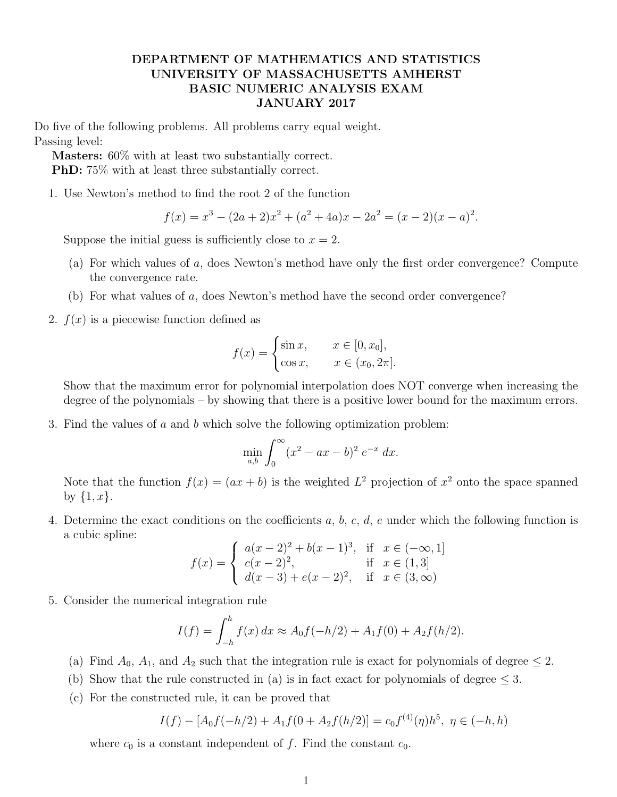## DEPARTMENT OF MATHEMATICS AND STATISTICS UNIVERSITY OF MASSACHUSETTS AMHERST BASIC NUMERIC ANALYSIS EXAM JANUARY 2017

Do five of the following problems. All problems carry equal weight. Passing level:

Masters: 60% with at least two substantially correct. PhD: 75% with at least three substantially correct.

1. Use Newton's method to find the root 2 of the function

$$
f(x) = x3 - (2a + 2)x2 + (a2 + 4a)x - 2a2 = (x - 2)(x - a)2.
$$

Suppose the initial guess is sufficiently close to  $x = 2$ .

- (a) For which values of a, does Newton's method have only the first order convergence? Compute the convergence rate.
- (b) For what values of a, does Newton's method have the second order convergence?
- 2.  $f(x)$  is a piecewise function defined as

$$
f(x) = \begin{cases} \sin x, & x \in [0, x_0], \\ \cos x, & x \in (x_0, 2\pi]. \end{cases}
$$

Show that the maximum error for polynomial interpolation does NOT converge when increasing the degree of the polynomials – by showing that there is a positive lower bound for the maximum errors.

3. Find the values of a and b which solve the following optimization problem:

$$
\min_{a,b} \int_0^{\infty} (x^2 - ax - b)^2 e^{-x} dx.
$$

Note that the function  $f(x) = (ax + b)$  is the weighted  $L^2$  projection of  $x^2$  onto the space spanned by  $\{1, x\}.$ 

4. Determine the exact conditions on the coefficients  $a, b, c, d, e$  under which the following function is a cubic spline:

$$
f(x) = \begin{cases} a(x-2)^2 + b(x-1)^3, & \text{if } x \in (-\infty, 1] \\ c(x-2)^2, & \text{if } x \in (1,3] \\ d(x-3) + e(x-2)^2, & \text{if } x \in (3, \infty) \end{cases}
$$

5. Consider the numerical integration rule

$$
I(f) = \int_{-h}^{h} f(x) dx \approx A_0 f(-h/2) + A_1 f(0) + A_2 f(h/2).
$$

- (a) Find  $A_0$ ,  $A_1$ , and  $A_2$  such that the integration rule is exact for polynomials of degree  $\leq 2$ .
- (b) Show that the rule constructed in (a) is in fact exact for polynomials of degree  $\leq$  3.
- (c) For the constructed rule, it can be proved that

$$
I(f) - [A_0 f(-h/2) + A_1 f(0 + A_2 f(h/2))] = c_0 f^{(4)}(\eta) h^5, \ \eta \in (-h, h)
$$

where  $c_0$  is a constant independent of f. Find the constant  $c_0$ .